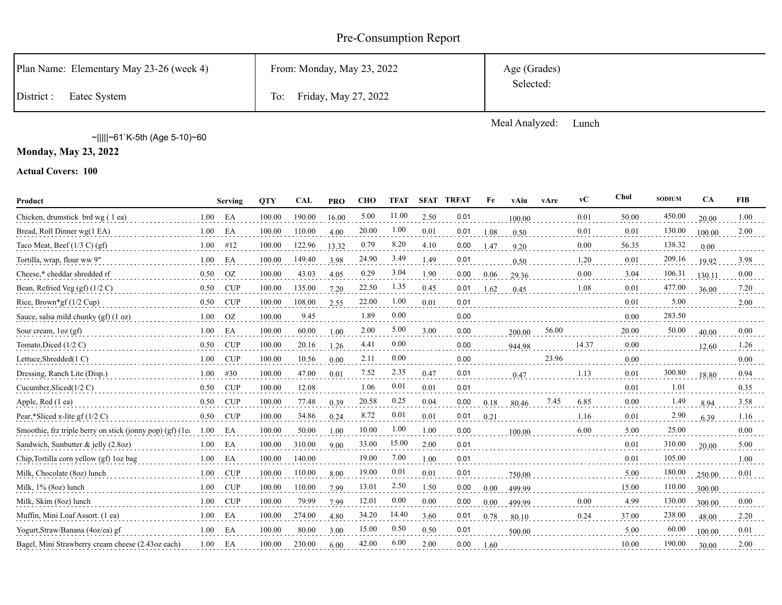# Pre-Consumption Report

| Plan Name: Elementary May 23-26 (week 4) | From: Monday, May 23, 2022 | Age (Grades) |
|------------------------------------------|----------------------------|--------------|
| District :<br>Eatec System               | To: Friday, May 27, 2022   | Selected:    |

Meal Analyzed: Lunch

~|||||~61`K-5th (Age 5-10)~60

**Monday, May 23, 2022**

**Actual Covers: 100**

| Product                                                   |      | Serving    | <b>OTY</b> | <b>CAL</b> | <b>PRO</b> | <b>CHO</b> | <b>TFAT</b> | SFAT | <b>TRFAT</b> | Fe   | vAiu   | vAre  | $\bf v$ C | Chol  | <b>SODIUM</b> | <b>CA</b> | <b>FIB</b> |
|-----------------------------------------------------------|------|------------|------------|------------|------------|------------|-------------|------|--------------|------|--------|-------|-----------|-------|---------------|-----------|------------|
| Chicken, drumstick brd wg (1 ea)                          | 1.00 | EA         | 100.00     | 190.00     | 16.00      | 5.00       | 11.00       | 2.50 | 0.01         |      | 100.00 |       | 0.01      | 50.00 | 450.00        | 20.00     | 1.00       |
| Bread, Roll Dinner wg(1 EA)                               | 1.00 | EA         | 100.00     | 110.00     | 4.00       | 20.00      | 1.00        | 0.01 | 0.01         | 1.08 | 0.50   |       | 0.01      | 0.01  | 130.00        | 100.00    | 2.00       |
| Taco Meat, Beef $(1/3 C)$ (gf)                            | 1.00 | #12        | 100.00     | 122.96     | 13.32      | 0.79       | 8.20        | 4.10 | 0.00         | 1.47 | 9.20   |       | 0.00      | 56.35 | 138.32        | 0.00      |            |
| Tortilla, wrap, flour ww 9"                               | 1.00 | EA         | 100.00     | 149.40     | 3.98       | 24.90      | 3.49        | 1.49 | 0.01         |      | 0.50   |       | 1.20      | 0.01  | 209.16        | 19.92     | 3.98       |
| Cheese,* cheddar shredded rf                              | 0.50 | OZ         | 100.00     | 43.03      | 4.05       | 0.29       | 3.04        | 1.90 | 0.00         | 0.06 | 29.36  |       | 0.00      | 3.04  | 106.31        | 130.11    | 0.00       |
| Bean, Refried Veg $(gf)(1/2 C)$                           | 0.50 | <b>CUP</b> | 100.00     | 135.00     | 7.20       | 22.50      | 1.35        | 0.45 | 0.01         | 1.62 | 0.45   |       | 1.08      | 0.01  | 477.00        | 36.00     | 7.20       |
| Rice, Brown*gf $(1/2 \text{ Cup})$                        | 0.50 | <b>CUP</b> | 100.00     | 108.00     | 2.55       | 22.00      | 1.00        | 0.01 | 0.01         |      |        |       |           | 0.01  | 5.00          |           | 2.00       |
| Sauce, salsa mild chunky (gf) (1 oz)                      | 1.00 | OZ         | 100.00     | 9.45       |            | 1.89       | 0.00        |      | 0.00         |      |        |       |           | 0.00  | 283.50        |           |            |
| Sour cream, $\log$ (gf)                                   | 1.00 | EA         | 100.00     | 60.00      | 1.00       | 2.00       | 5.00        | 3.00 | 0.00         |      | 200.00 | 56.00 |           | 20.00 | 50.00         | 40.00     | 0.00       |
| Tomato, Diced (1/2 C)                                     | 0.50 | <b>CUP</b> | 100.00     | 20.16      | 1.26       | 4.41       | 0.00        |      | 0.00         |      | 944.98 |       | 14.37     | 0.00  |               | 12.60     | 1.26       |
| Lettuce, Shredded(1 C)                                    | 1.00 | <b>CUP</b> | 100.00     | 10.56      | 0.00       | 2.11       | 0.00        |      | 0.00         |      |        | 23.96 |           | 0.00  |               |           | 0.00       |
| Dressing, Ranch Lite (Disp.)                              | 1.00 | #30        | 100.00     | 47.00      | 0.01       | 7.52       | 2.35        | 0.47 | 0.01         |      | 0.47   |       | 1.13      | 0.01  | 300.80        | 18.80     | 0.94       |
| Cucumber, Sliced $(1/2 C)$                                | 0.50 | <b>CUP</b> | 100.00     | 12.08      |            | 1.06       | 0.01        | 0.01 | 0.01         |      |        |       |           | 0.01  | 1.01          |           | 0.35       |
| Apple, Red (1 ea)                                         | 0.50 | <b>CUP</b> | 100.00     | 77.48      | 0.39       | 20.58      | 0.25        | 0.04 | 0.00         | 0.18 | 80.46  | 7.45  | 6.85      | 0.00  | 1.49          | 8.94      | 3.58       |
| Pear,*Sliced x-lite gf $(1/2 C)$                          | 0.50 | CUP        | 100.00     | 34.86      | 0.24       | 8.72       | 0.01        | 0.01 | 0.01         | 0.21 |        |       | 1.16      | 0.01  | 2.90          | 6.39      | 1.16       |
| Smoothie, frz triple berry on stick (jonny pop) (gf) (1ea | 1.00 | EA         | 100.00     | 50.00      | 1.00       | 10.00      | 1.00        | 1.00 | 0.00         |      | 100.00 |       | 6.00      | 5.00  | 25.00         |           | 0.00       |
| Sandwich, Sunbutter & jelly (2.8oz)                       | 1.00 | EA         | 100.00     | 310.00     | 9.00       | 33.00      | 15.00       | 2.00 | 0.01         |      |        |       |           | 0.01  | 310.00        | 20.00     | 5.00       |
| Chip, Tortilla corn yellow (gf) loz bag                   | 1.00 | EA         | 100.00     | 140.00     |            | 19.00      | 7.00        | 1.00 | 0.01         |      |        |       |           | 0.01  | 105.00        |           | 1.00       |
| Milk, Chocolate (8oz) lunch                               | 1.00 | CUP        | 100.00     | 110.00     | 8.00       | 19.00      | 0.01        | 0.01 | 0.01         |      | 750.00 |       |           | 5.00  | 180.00        | 250.00    | 0.01       |
| Milk, 1% (8oz) lunch                                      | 1.00 | CUP        | 100.00     | 110.00     | 7.99       | 13.01      | 2.50        | 1.50 | 0.00         | 0.00 | 499.99 |       |           | 15.00 | 110.00        | 300.00    |            |
| Milk, Skim (8oz) lunch                                    | 1.00 | <b>CUP</b> | 100.00     | 79.99      | 7.99       | 12.01      | 0.00        | 0.00 | 0.00         | 0.00 | 499.99 |       | 0.00      | 4.99  | 130.00        | 300.00    | 0.00       |
| Muffin, Mini Loaf Assort. (1 ea)                          | 1.00 | EA         | 100.00     | 274.00     | 4.80       | 34.20      | 14.40       | 3.60 | 0.01         | 0.78 | 80.10  |       | 0.24      | 37.00 | 238.00        | 48.00     | 2.20       |
| Yogurt, Straw/Banana (4oz/ea) gf                          | 1.00 | EA         | 100.00     | 80.00      | 3.00       | 15.00      | 0.50        | 0.50 | 0.01         |      | 500.00 |       |           | 5.00  | 60.00         | 100.00    | 0.01       |
| Bagel, Mini Strawberry cream cheese (2.43oz each)         | 1.00 | EA         | 100.00     | 230.00     | 6.00       | 42.00      | 6.00        | 2.00 | 0.00         | 1.60 |        |       |           | 10.00 | 190.00        | 30.00     | 2.00       |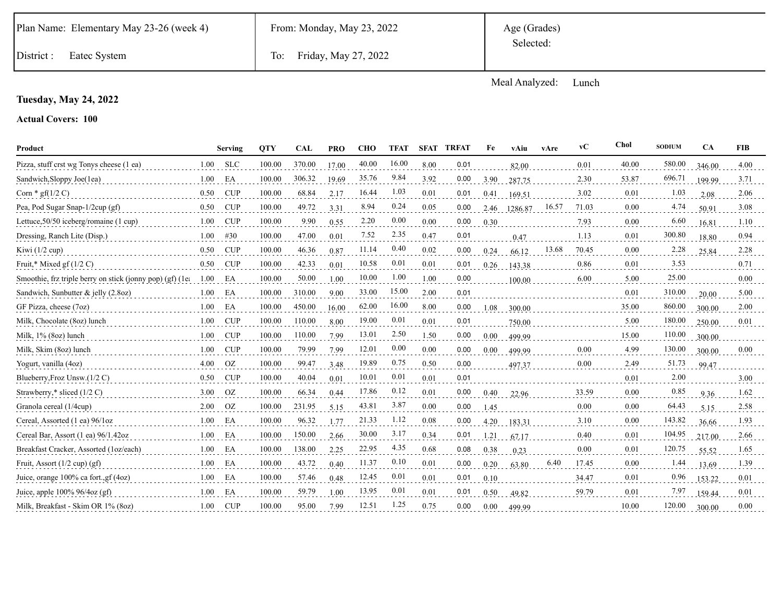|  | Plan Name: Elementary May 23-26 (week 4) |  |  |
|--|------------------------------------------|--|--|
|--|------------------------------------------|--|--|

Age (Grades) Selected:

District : Eatec System To: Friday, May 27, 2022

Meal Analyzed: Lunch

## **Tuesday, May 24, 2022**

## **Actual Covers: 100**

| Product                                                  |      | <b>Serving</b> | <b>OTY</b> | <b>CAL</b> | <b>PRO</b> | <b>CHO</b> | <b>TFAT</b> |      | <b>SFAT TRFAT</b> | Fe       | vAiu    | vAre  | vC    | Chol  | <b>SODIUM</b> | <b>CA</b> | <b>FIB</b> |
|----------------------------------------------------------|------|----------------|------------|------------|------------|------------|-------------|------|-------------------|----------|---------|-------|-------|-------|---------------|-----------|------------|
| Pizza, stuff crst wg Tonys cheese (1 ea)                 | 1.00 | <b>SLC</b>     | 100.00     | 370.00     | 17.00      | 40.00      | 16.00       | 8.00 | 0.01              |          | 82.00   |       | 0.01  | 40.00 | 580.00        | 346.00    | 4.00       |
| Sandwich, Sloppy Joe(1ea)                                | 1.00 | EA             | 100.00     | 306.32     | 19.69      | 35.76      | 9.84        | 3.92 | 0.00              | 3.90     | 287.75  |       | 2.30  | 53.87 | 696.71        | 199.99    | 3.71       |
| Corn $*$ gf(1/2 C)                                       | 0.50 | <b>CUP</b>     | 100.00     | 68.84      | 2.17       | 16.44      | 1.03        | 0.01 | 0.01              | 0.41     | 169.51  |       | 3.02  | 0.01  | 1.03          | 2.08      | 2.06       |
| Pea, Pod Sugar Snap-1/2cup (gf)                          | 0.50 | CUP            | 100.00     | 49.72      | 3.31       | 8.94       | 0.24        | 0.05 | 0.00              | 2.46     | 1286.87 | 16.57 | 71.03 | 0.00  | 4.74          | 50.91     | 3.08       |
| Lettuce, 50/50 iceberg/romaine (1 cup)                   | 1.00 | <b>CUP</b>     | 100.00     | 9.90       | 0.55       | 2.20       | 0.00        | 0.00 | 0.00              | 0.30     |         |       | 7.93  | 0.00  | 6.60          | 16.81     | 1.10       |
| Dressing, Ranch Lite (Disp.)                             | 1.00 | #30            | 100.00     | 47.00      | 0.01       | 7.52       | 2.35        | 0.47 | 0.01              |          | 0.47    |       | 1.13  | 0.01  | 300.80        | 18.80     | 0.94       |
| Kiwi $(1/2$ cup)                                         | 0.50 | <b>CUP</b>     | 100.00     | 46.36      | 0.87       | 11.14      | 0.40        | 0.02 | 0.00              | 0.24     | 66.12   | 13.68 | 70.45 | 0.00  | 2.28          | 25.84     | 2.28       |
| Fruit,* Mixed gf $(1/2 C)$                               | 0.50 | CUP            | 100.00     | 42.33      | 0.01       | 10.58      | 0.01        | 0.01 | 0.01              | 0.26     | 143.38  |       | 0.86  | 0.01  | 3.53          |           | 0.71       |
| Smoothie, frz triple berry on stick (jonny pop) (gf) (1e | 1.00 | EΑ             | 100.00     | 50.00      | 1.00       | 10.00      | 1.00        | 1.00 | 0.00              |          | 100.00  |       | 6.00  | 5.00  | 25.00         |           | 0.00       |
| Sandwich, Sunbutter & jelly (2.8oz)                      | 1.00 | EA             | 100.00     | 310.00     | 9.00       | 33.00      | 15.00       | 2.00 | 0.01              |          |         |       |       | 0.01  | 310.00        | 20.00     | 5.00       |
| GF Pizza, cheese (7oz)                                   | 1.00 | EA             | 100.00     | 450.00     | 16.00      | 62.00      | 16.00       | 8.00 | 0.00              | 1.08     | 300.00  |       |       | 35.00 | 860.00        | 300.00    | 2.00       |
| Milk, Chocolate (8oz) lunch                              | 1.00 | CUP            | 100.00     | 110.00     | 8.00       | 19.00      | 0.01        | 0.01 | 0.01              |          | 750.00  |       |       | 5.00  | 180.00        | 250.00    | 0.01       |
| Milk, $1\%$ (8oz) lunch                                  | 1.00 | <b>CUP</b>     | 100.00     | 110.00     | 7.99       | 13.01      | 2.50        | 1.50 | 0.00              | $0.00\,$ | 499.99  |       |       | 15.00 | 110.00        | 300.00    |            |
| Milk, Skim (8oz) lunch                                   | 1.00 | CUP            | 100.00     | 79.99      | 7.99       | 12.01      | 0.00        | 0.00 | 0.00              | $0.00\,$ | 499.99  |       | 0.00  | 4.99  | 130.00        | 300.00    | 0.00       |
| Yogurt, vanilla (4oz)                                    | 4.00 | <b>OZ</b>      | 100.00     | 99.47      | 3.48       | 19.89      | 0.75        | 0.50 | 0.00              |          | 497.37  |       | 0.00  | 2.49  | 51.73         | 99.47     |            |
| Blueberry, Froz Unsw. (1/2 C)                            | 0.50 | CUP            | 100.00     | 40.04      | 0.01       | 10.01      | 0.01        | 0.01 | 0.01              |          |         |       |       | 0.01  | 2.00          |           | 3.00       |
| Strawberry,* sliced $(1/2 C)$                            | 3.00 | OZ             | 100.00     | 66.34      | 0.44       | 17.86      | 0.12        | 0.01 | 0.00              | 0.40     | 22.96   |       | 33.59 | 0.00  | 0.85          | 9.36      | 1.62       |
| Granola cereal (1/4cup)                                  | 2.00 | <b>OZ</b>      | 100.00     | 231.95     | 5.15       | 43.81      | 3.87        | 0.00 | 0.00              | 1.45     |         |       | 0.00  | 0.00  | 64.43         | 5.15      | 2.58       |
| Cereal, Assorted (1 ea) 96/1oz                           | 1.00 | EA             | 100.00     | 96.32      | 1.77       | 21.33      | 1.12        | 0.08 | 0.00              | 4.20     | 183.31  |       | 3.10  | 0.00  | 143.82        | 36.66     | 1.93       |
| Cereal Bar, Assort (1 ea) 96/1.42oz                      | 1.00 | EA             | 100.00     | 150.00     | 2.66       | 30.00      | 3.17        | 0.34 | 0.01              | 1.21     | 67.17   |       | 0.40  | 0.01  | 104.95        | 217.00    | 2.66       |
| Breakfast Cracker, Assorted (1oz/each)                   | 1.00 | EA             | 100.00     | 138.00     | 2.25       | 22.95      | 4.35        | 0.68 | 0.08              | 0.38     | 0.23    |       | 0.00  | 0.01  | 120.75        | 55.52     | 1.65       |
| Fruit, Assort $(1/2$ cup) $(gf)$                         | 1.00 | EA             | 100.00     | 43.72      | 0.40       | 11.37      | 0.10        | 0.01 | 0.00              | 0.20     | 63.80   | 6.40  | 17.45 | 0.00  | 1.44          | 13.69     | 1.39       |
| Juice, orange 100% ca fort., gf (4oz)                    | 1.00 | EA             | 100.00     | 57.46      | 0.48       | 12.45      | 0.01        | 0.01 | 0.01              | 0.10     |         |       | 34.47 | 0.01  | 0.96          | 153.22    | 0.01       |
| Juice, apple $100\%$ 96/4oz (gf)                         | 1.00 | EA             | 100.00     | 59.79      | 1.00       | 13.95      | 0.01        | 0.01 | 0.01              | 0.50     | 49.82   |       | 59.79 | 0.01  | 7.97          | 159.44    | 0.01       |
| Milk, Breakfast - Skim OR 1% (8oz)                       | 1.00 | CUP            | 100.00     | 95.00      | 7.99       | 12.51      | 1.25        | 0.75 | 0.00              | 0.00     | 499.99  |       |       | 10.00 | 120.00        | 300.00    | 0.00       |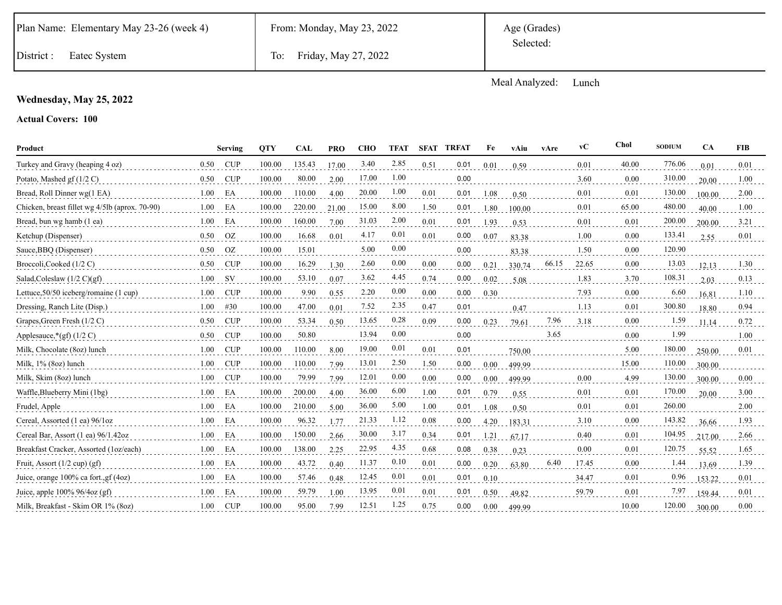Age (Grades) Selected:

District : Eatec System To: Friday, May 27, 2022

Meal Analyzed: Lunch

### **Wednesday, May 25, 2022**

#### **Actual Covers: 100**

| Product                                        |      | Serving    | <b>OTY</b> | <b>CAL</b> | <b>PRO</b> | <b>CHO</b> | <b>TFAT</b> |      | <b>SFAT TRFAT</b> | Fe       | vAiu   | vAre  | vC    | Chol  | <b>SODIUM</b> | <b>CA</b> | <b>FIB</b> |
|------------------------------------------------|------|------------|------------|------------|------------|------------|-------------|------|-------------------|----------|--------|-------|-------|-------|---------------|-----------|------------|
| Turkey and Gravy (heaping 4 oz)                | 0.50 | <b>CUP</b> | 100.00     | 135.43     | 17.00      | 3.40       | 2.85        | 0.51 | 0.01              | 0.01     | 0.59   |       | 0.01  | 40.00 | 776.06        | 0.01      | 0.01       |
| Potato, Mashed gf $(1/2 C)$                    | 0.50 | CUP        | 100.00     | 80.00      | 2.00       | 17.00      | 1.00        |      | 0.00              |          |        |       | 3.60  | 0.00  | 310.00        | 20.00     | 1.00       |
| Bread, Roll Dinner wg(1 EA)                    | 1.00 | EA         | 100.00     | 110.00     | 4.00       | 20.00      | 1.00        | 0.01 | 0.01              | 1.08     | 0.50   |       | 0.01  | 0.01  | 130.00        | 100.00    | 2.00       |
| Chicken, breast fillet wg 4/5lb (aprox. 70-90) | 1.00 | EA         | 100.00     | 220.00     | 21.00      | 15.00      | 8.00        | 1.50 | 0.01              | 1.80     | 100.00 |       | 0.01  | 65.00 | 480.00        | 40.00     | 1.00       |
| Bread, bun wg hamb (1 ea)                      | 1.00 | EA         | 100.00     | 160.00     | 7.00       | 31.03      | 2.00        | 0.01 | 0.01              | 1.93     | 0.53   |       | 0.01  | 0.01  | 200.00        | 200.00    | 3.21       |
| Ketchup (Dispenser)                            | 0.50 | <b>OZ</b>  | 100.00     | 16.68      | 0.01       | 4.17       | 0.01        | 0.01 | 0.00              | 0.07     | 83.38  |       | 1.00  | 0.00  | 133.41        | 2.55      | 0.01       |
| Sauce, BBQ (Dispenser)                         | 0.50 | OZ         | 100.00     | 15.01      |            | 5.00       | 0.00        |      | 0.00              |          | 83.38  |       | 1.50  | 0.00  | 120.90        |           |            |
| Broccoli, Cooked (1/2 C)                       | 0.50 | CUP        | 100.00     | 16.29      | 1.30       | 2.60       | 0.00        | 0.00 | 0.00              | 0.21     | 330.74 | 66.15 | 22.65 | 0.00  | 13.03         | 12.13     | 1.30       |
| Salad, Coleslaw $(1/2 \text{ C})(gf)$          | 1.00 | <b>SV</b>  | 100.00     | 53.10      | 0.07       | 3.62       | 4.45        | 0.74 | 0.00              | 0.02     | 5.08   |       | 1.83  | 3.70  | 108.31        | 2.03      | 0.13       |
| Lettuce, 50/50 iceberg/romaine (1 cup)         | 1.00 | <b>CUP</b> | 100.00     | 9.90       | 0.55       | 2.20       | 0.00        | 0.00 | 0.00              | 0.30     |        |       | 7.93  | 0.00  | 6.60          | 16.81     | 1.10       |
| Dressing, Ranch Lite (Disp.)                   | 1.00 | #30        | 100.00     | 47.00      | 0.01       | 7.52       | 2.35        | 0.47 | 0.01              |          | 0.47   |       | 1.13  | 0.01  | 300.80        | 18.80     | 0.94       |
| Grapes, Green Fresh $(1/2 C)$                  | 0.50 | CUP        | 100.00     | 53.34      | 0.50       | 13.65      | 0.28        | 0.09 | 0.00              | 0.23     | 79.61  | 7.96  | 3.18  | 0.00  | 1.59          | 11.14     | 0.72       |
| Applesauce, $*(gf)$ (1/2 C)                    | 0.50 | <b>CUP</b> | 100.00     | 50.80      |            | 13.94      | 0.00        |      | 0.00              |          |        | 3.65  |       | 0.00  | 1.99          |           | 1.00       |
| Milk, Chocolate (8oz) lunch                    | 1.00 | <b>CUP</b> | 100.00     | 110.00     | 8.00       | 19.00      | 0.01        | 0.01 | 0.01              |          | 750.00 |       |       | 5.00  | 180.00        | 250.00    | 0.01       |
| Milk, 1% (8oz) lunch                           | 1.00 | CUP        | 100.00     | 110.00     | 7.99       | 13.01      | 2.50        | 1.50 | 0.00              | $0.00\,$ | 499.99 |       |       | 15.00 | 110.00        | 300.00    |            |
| Milk, Skim (8oz) lunch                         | 1.00 | <b>CUP</b> | 100.00     | 79.99      | 7.99       | 12.01      | 0.00        | 0.00 | 0.00              | 0.00     | 499.99 |       | 0.00  | 4.99  | 130.00        | 300.00    | 0.00       |
| Waffle, Blueberry Mini (1bg)                   | 1.00 | EA         | 100.00     | 200.00     | 4.00       | 36.00      | 6.00        | 1.00 | 0.01              | 0.79     | 0.55   |       | 0.01  | 0.01  | 170.00        | 20.00     | 3.00       |
| Frudel, Apple                                  | 1.00 | EA         | 100.00     | 210.00     | 5.00       | 36.00      | 5.00        | 1.00 | 0.01              | 1.08     | 0.50   |       | 0.01  | 0.01  | 260.00        |           | 2.00       |
| Cereal, Assorted (1 ea) 96/1oz                 | 1.00 | EA         | 100.00     | 96.32      | 1.77       | 21.33      | 1.12        | 0.08 | 0.00              | 4.20     | 183.31 |       | 3.10  | 0.00  | 143.82        | 36.66     | 1.93       |
| Cereal Bar, Assort (1 ea) 96/1.42oz            | 1.00 | EA         | 100.00     | 150.00     | 2.66       | 30.00      | 3.17        | 0.34 | 0.01              | 1.21     | 67.17  |       | 0.40  | 0.01  | 104.95        | 217.00    | 2.66       |
| Breakfast Cracker, Assorted (1oz/each)         | 1.00 | EA         | 100.00     | 138.00     | 2.25       | 22.95      | 4.35        | 0.68 | 0.08              | 0.38     | 0.23   |       | 0.00  | 0.01  | 120.75        | 55.52     | 1.65       |
| Fruit, Assort $(1/2 \text{ cup}) (gf)$         | 1.00 | EA         | 100.00     | 43.72      | 0.40       | 11.37      | 0.10        | 0.01 | 0.00              | 0.20     | 63.80  | 6.40  | 17.45 | 0.00  | 1.44          | 13.69     | 1.39       |
| Juice, orange 100% ca fort., gf (4oz)          | 1.00 | EA         | 100.00     | 57.46      | 0.48       | 12.45      | 0.01        | 0.01 | 0.01              | 0.10     |        |       | 34.47 | 0.01  | 0.96          | 153.22    | 0.01       |
| Juice, apple 100% 96/4oz (gf)                  | 1.00 | EA         | 100.00     | 59.79      | 1.00       | 13.95      | 0.01        | 0.01 | 0.01              | 0.50     | 49.82  |       | 59.79 | 0.01  | 7.97          | 159.44    | 0.01       |
| Milk, Breakfast - Skim OR 1% (80z)             | 1.00 | <b>CUP</b> | 100.00     | 95.00      | 7.99       | 12.51      | 1.25        | 0.75 | 0.00              | 0.00     | 499.99 |       |       | 10.00 | 120.00        | 300.00    | 0.00       |